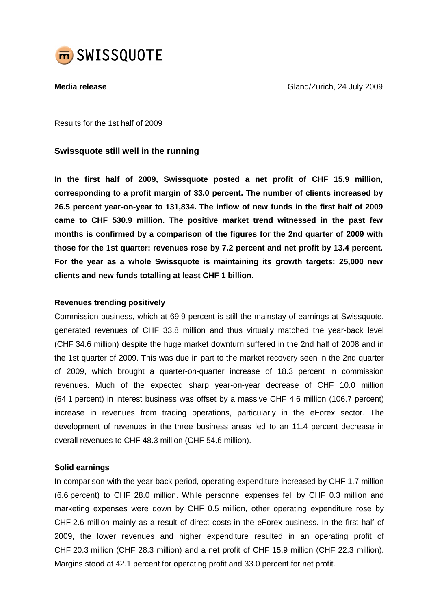

**Media release** Gland/Zurich, 24 July 2009

Results for the 1st half of 2009

# **Swissquote still well in the running**

**In the first half of 2009, Swissquote posted a net profit of CHF 15.9 million, corresponding to a profit margin of 33.0 percent. The number of clients increased by 26.5 percent year-on-year to 131,834. The inflow of new funds in the first half of 2009 came to CHF 530.9 million. The positive market trend witnessed in the past few months is confirmed by a comparison of the figures for the 2nd quarter of 2009 with those for the 1st quarter: revenues rose by 7.2 percent and net profit by 13.4 percent. For the year as a whole Swissquote is maintaining its growth targets: 25,000 new clients and new funds totalling at least CHF 1 billion.**

# **Revenues trending positively**

Commission business, which at 69.9 percent is still the mainstay of earnings at Swissquote, generated revenues of CHF 33.8 million and thus virtually matched the year-back level (CHF 34.6 million) despite the huge market downturn suffered in the 2nd half of 2008 and in the 1st quarter of 2009. This was due in part to the market recovery seen in the 2nd quarter of 2009, which brought a quarter-on-quarter increase of 18.3 percent in commission revenues. Much of the expected sharp year-on-year decrease of CHF 10.0 million (64.1 percent) in interest business was offset by a massive CHF 4.6 million (106.7 percent) increase in revenues from trading operations, particularly in the eForex sector. The development of revenues in the three business areas led to an 11.4 percent decrease in overall revenues to CHF 48.3 million (CHF 54.6 million).

# **Solid earnings**

In comparison with the year-back period, operating expenditure increased by CHF 1.7 million (6.6 percent) to CHF 28.0 million. While personnel expenses fell by CHF 0.3 million and marketing expenses were down by CHF 0.5 million, other operating expenditure rose by CHF 2.6 million mainly as a result of direct costs in the eForex business. In the first half of 2009, the lower revenues and higher expenditure resulted in an operating profit of CHF 20.3 million (CHF 28.3 million) and a net profit of CHF 15.9 million (CHF 22.3 million). Margins stood at 42.1 percent for operating profit and 33.0 percent for net profit.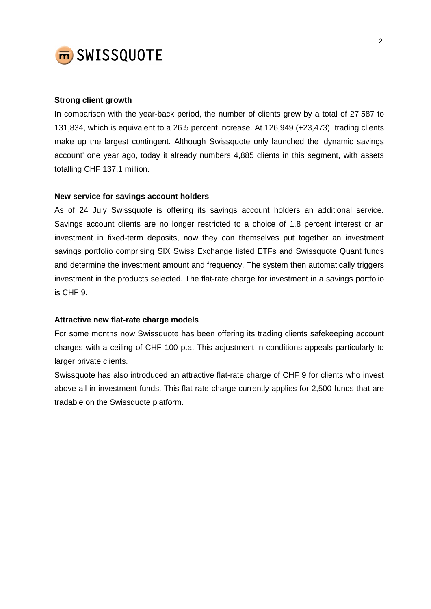

### **Strong client growth**

In comparison with the year-back period, the number of clients grew by a total of 27,587 to 131,834, which is equivalent to a 26.5 percent increase. At 126,949 (+23,473), trading clients make up the largest contingent. Although Swissquote only launched the 'dynamic savings account' one year ago, today it already numbers 4,885 clients in this segment, with assets totalling CHF 137.1 million.

#### **New service for savings account holders**

As of 24 July Swissquote is offering its savings account holders an additional service. Savings account clients are no longer restricted to a choice of 1.8 percent interest or an investment in fixed-term deposits, now they can themselves put together an investment savings portfolio comprising SIX Swiss Exchange listed ETFs and Swissquote Quant funds and determine the investment amount and frequency. The system then automatically triggers investment in the products selected. The flat-rate charge for investment in a savings portfolio is CHF 9.

#### **Attractive new flat-rate charge models**

For some months now Swissquote has been offering its trading clients safekeeping account charges with a ceiling of CHF 100 p.a. This adjustment in conditions appeals particularly to larger private clients.

Swissquote has also introduced an attractive flat-rate charge of CHF 9 for clients who invest above all in investment funds. This flat-rate charge currently applies for 2,500 funds that are tradable on the Swissquote platform.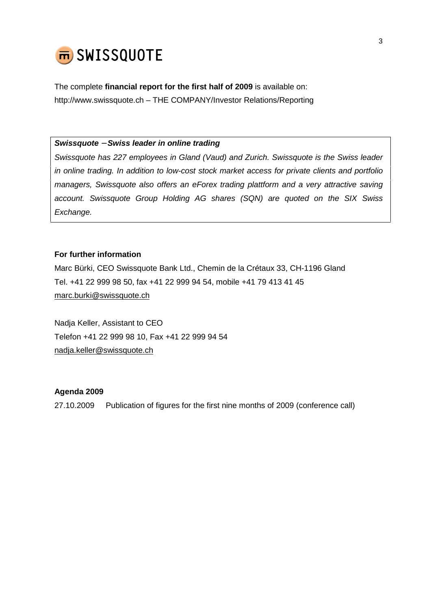

The complete **financial report for the first half of 2009** is available on: <http://www.swissquote.ch> – THE COMPANY/Investor Relations/Reporting

*Swissquote* − *Swiss leader in online trading*

*Swissquote has 227 employees in Gland (Vaud) and Zurich. Swissquote is the Swiss leader in online trading. In addition to low-cost stock market access for private clients and portfolio managers, Swissquote also offers an eForex trading plattform and a very attractive saving account. Swissquote Group Holding AG shares (SQN) are quoted on the SIX Swiss Exchange.*

# **For further information**

Marc Bürki, CEO Swissquote Bank Ltd., Chemin de la Crétaux 33, CH-1196 Gland Tel. +41 22 999 98 50, fax +41 22 999 94 54, mobile +41 79 413 41 45 [marc.burki@swissquote.ch](mailto:marc.burki@swissquote.ch)

Nadja Keller, Assistant to CEO Telefon +41 22 999 98 10, Fax +41 22 999 94 54 [nadja.keller@swissquote.ch](mailto:nadja.keller@swissquote.ch)

# **Agenda 2009**

27.10.2009 Publication of figures for the first nine months of 2009 (conference call)